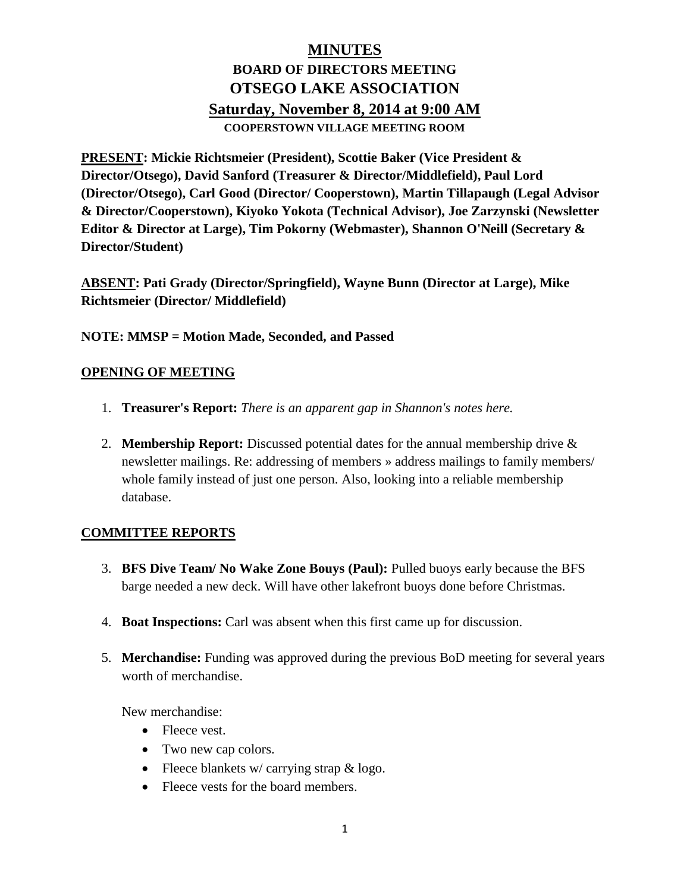# **MINUTES BOARD OF DIRECTORS MEETING OTSEGO LAKE ASSOCIATION Saturday, November 8, 2014 at 9:00 AM COOPERSTOWN VILLAGE MEETING ROOM**

**PRESENT: Mickie Richtsmeier (President), Scottie Baker (Vice President & Director/Otsego), David Sanford (Treasurer & Director/Middlefield), Paul Lord (Director/Otsego), Carl Good (Director/ Cooperstown), Martin Tillapaugh (Legal Advisor & Director/Cooperstown), Kiyoko Yokota (Technical Advisor), Joe Zarzynski (Newsletter Editor & Director at Large), Tim Pokorny (Webmaster), Shannon O'Neill (Secretary & Director/Student)**

**ABSENT: Pati Grady (Director/Springfield), Wayne Bunn (Director at Large), Mike Richtsmeier (Director/ Middlefield)**

**NOTE: MMSP = Motion Made, Seconded, and Passed**

### **OPENING OF MEETING**

- 1. **Treasurer's Report:** *There is an apparent gap in Shannon's notes here.*
- 2. **Membership Report:** Discussed potential dates for the annual membership drive & newsletter mailings. Re: addressing of members » address mailings to family members/ whole family instead of just one person. Also, looking into a reliable membership database.

### **COMMITTEE REPORTS**

- 3. **BFS Dive Team/ No Wake Zone Bouys (Paul):** Pulled buoys early because the BFS barge needed a new deck. Will have other lakefront buoys done before Christmas.
- 4. **Boat Inspections:** Carl was absent when this first came up for discussion.
- 5. **Merchandise:** Funding was approved during the previous BoD meeting for several years worth of merchandise.

New merchandise:

- Fleece vest.
- Two new cap colors.
- Fleece blankets w/ carrying strap  $\&$  logo.
- Fleece vests for the board members.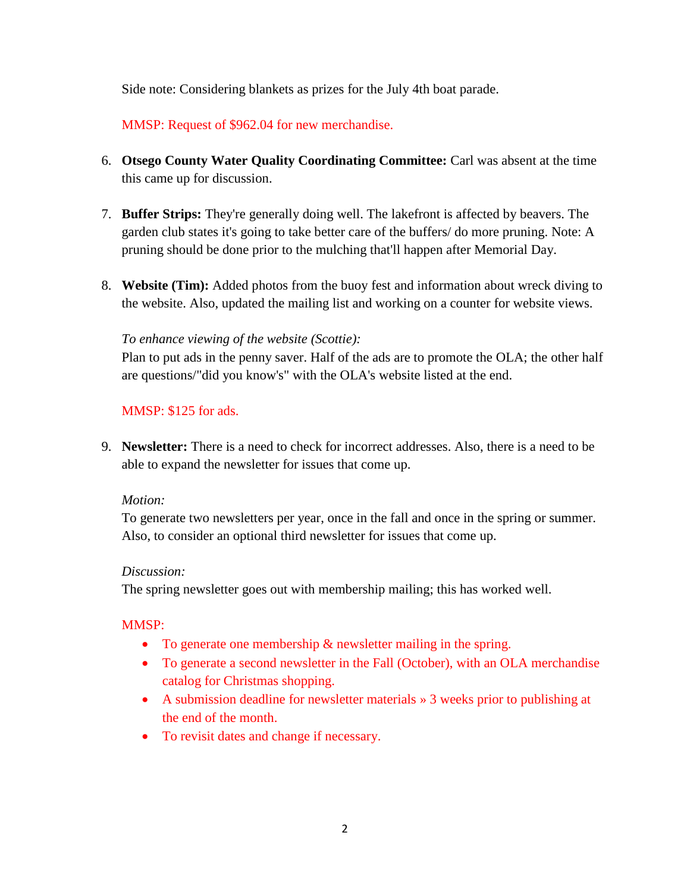Side note: Considering blankets as prizes for the July 4th boat parade.

MMSP: Request of \$962.04 for new merchandise.

- 6. **Otsego County Water Quality Coordinating Committee:** Carl was absent at the time this came up for discussion.
- 7. **Buffer Strips:** They're generally doing well. The lakefront is affected by beavers. The garden club states it's going to take better care of the buffers/ do more pruning. Note: A pruning should be done prior to the mulching that'll happen after Memorial Day.
- 8. **Website (Tim):** Added photos from the buoy fest and information about wreck diving to the website. Also, updated the mailing list and working on a counter for website views.

### *To enhance viewing of the website (Scottie):*

Plan to put ads in the penny saver. Half of the ads are to promote the OLA; the other half are questions/"did you know's" with the OLA's website listed at the end.

#### MMSP: \$125 for ads.

9. **Newsletter:** There is a need to check for incorrect addresses. Also, there is a need to be able to expand the newsletter for issues that come up.

#### *Motion:*

To generate two newsletters per year, once in the fall and once in the spring or summer. Also, to consider an optional third newsletter for issues that come up.

#### *Discussion:*

The spring newsletter goes out with membership mailing; this has worked well.

### MMSP:

- To generate one membership & newsletter mailing in the spring.
- To generate a second newsletter in the Fall (October), with an OLA merchandise catalog for Christmas shopping.
- A submission deadline for newsletter materials » 3 weeks prior to publishing at the end of the month.
- To revisit dates and change if necessary.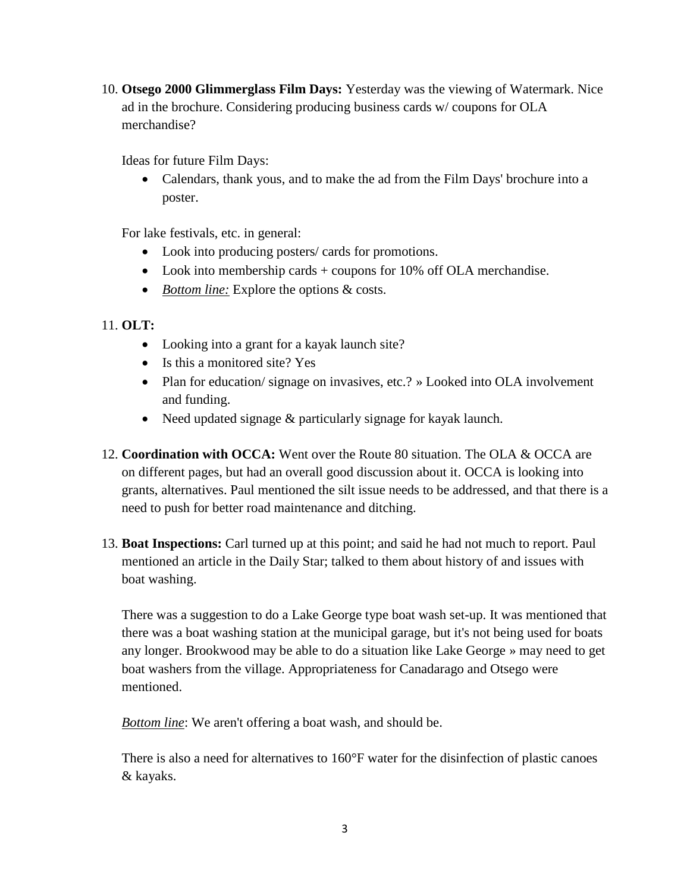10. **Otsego 2000 Glimmerglass Film Days:** Yesterday was the viewing of Watermark. Nice ad in the brochure. Considering producing business cards w/ coupons for OLA merchandise?

Ideas for future Film Days:

• Calendars, thank yous, and to make the ad from the Film Days' brochure into a poster.

For lake festivals, etc. in general:

- Look into producing posters/ cards for promotions.
- Look into membership cards + coupons for 10% off OLA merchandise.
- *Bottom line:* Explore the options & costs.

# 11. **OLT:**

- Looking into a grant for a kayak launch site?
- Is this a monitored site? Yes
- Plan for education/ signage on invasives, etc.? » Looked into OLA involvement and funding.
- Need updated signage & particularly signage for kayak launch.
- 12. **Coordination with OCCA:** Went over the Route 80 situation. The OLA & OCCA are on different pages, but had an overall good discussion about it. OCCA is looking into grants, alternatives. Paul mentioned the silt issue needs to be addressed, and that there is a need to push for better road maintenance and ditching.
- 13. **Boat Inspections:** Carl turned up at this point; and said he had not much to report. Paul mentioned an article in the Daily Star; talked to them about history of and issues with boat washing.

There was a suggestion to do a Lake George type boat wash set-up. It was mentioned that there was a boat washing station at the municipal garage, but it's not being used for boats any longer. Brookwood may be able to do a situation like Lake George » may need to get boat washers from the village. Appropriateness for Canadarago and Otsego were mentioned.

*Bottom line*: We aren't offering a boat wash, and should be.

There is also a need for alternatives to 160°F water for the disinfection of plastic canoes & kayaks.